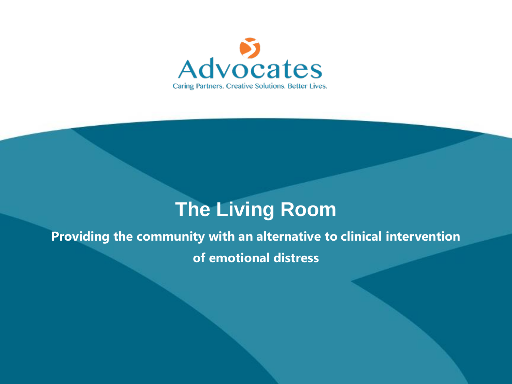

# **The Living Room**

#### **Providing the community with an alternative to clinical intervention**

**of emotional distress**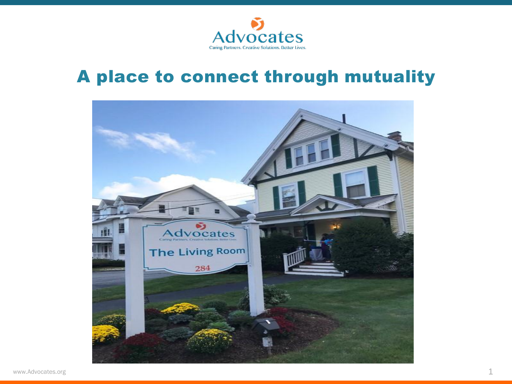

### A place to connect through mutuality

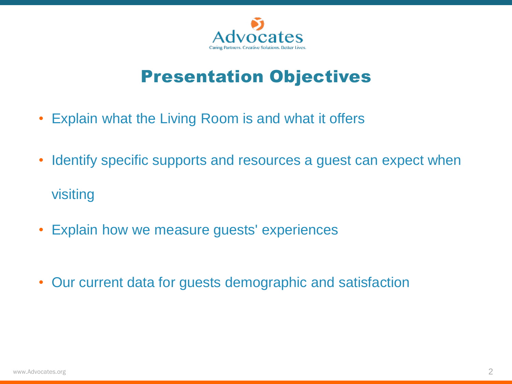

### Presentation Objectives

- Explain what the Living Room is and what it offers
- Identify specific supports and resources a guest can expect when visiting
- Explain how we measure guests' experiences
- Our current data for guests demographic and satisfaction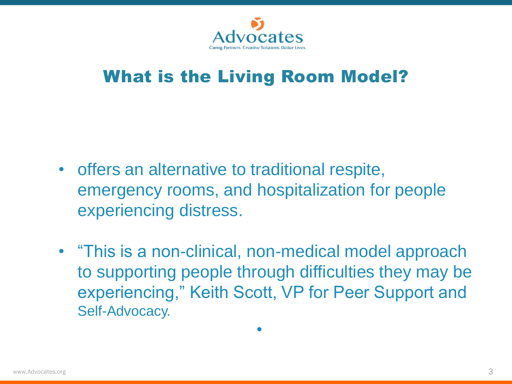

### What is the Living Room Model?

- offers an alternative to traditional respite, emergency rooms, and hospitalization for people experiencing distress.
- "This is a non-clinical, non-medical model approach to supporting people through difficulties they may be experiencing," Keith Scott, VP for Peer Support and Self-Advocacy.

•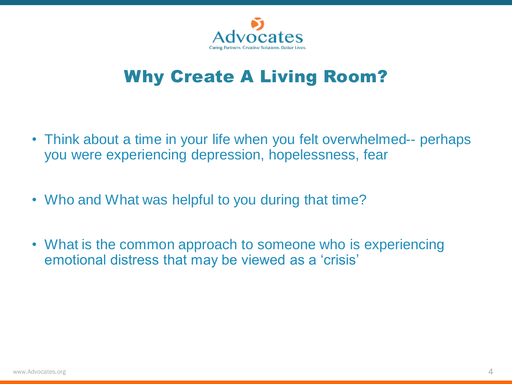

# Why Create A Living Room?

- Think about a time in your life when you felt overwhelmed-- perhaps you were experiencing depression, hopelessness, fear
- Who and What was helpful to you during that time?
- What is the common approach to someone who is experiencing emotional distress that may be viewed as a 'crisis'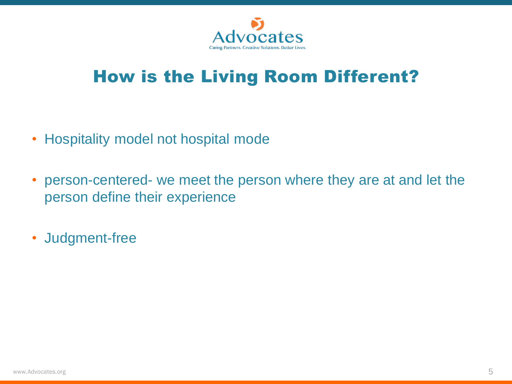

# How is the Living Room Different?

- Hospitality model not hospital mode
- person-centered- we meet the person where they are at and let the person define their experience
- Judgment-free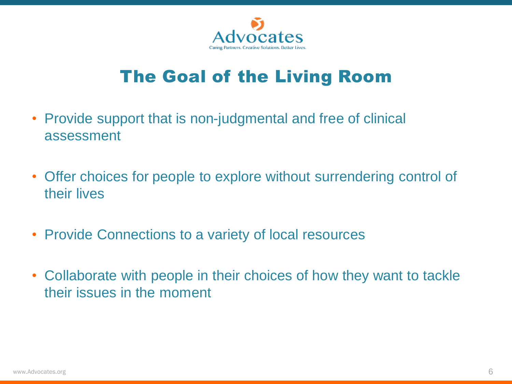

# The Goal of the Living Room

- Provide support that is non-judgmental and free of clinical assessment
- Offer choices for people to explore without surrendering control of their lives
- Provide Connections to a variety of local resources
- Collaborate with people in their choices of how they want to tackle their issues in the moment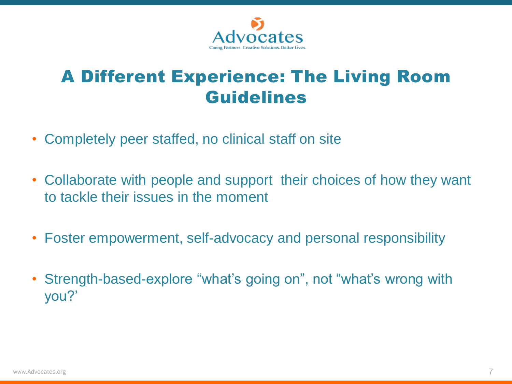

### A Different Experience: The Living Room Guidelines

- Completely peer staffed, no clinical staff on site
- Collaborate with people and support their choices of how they want to tackle their issues in the moment
- Foster empowerment, self-advocacy and personal responsibility
- Strength-based-explore "what's going on", not "what's wrong with you?'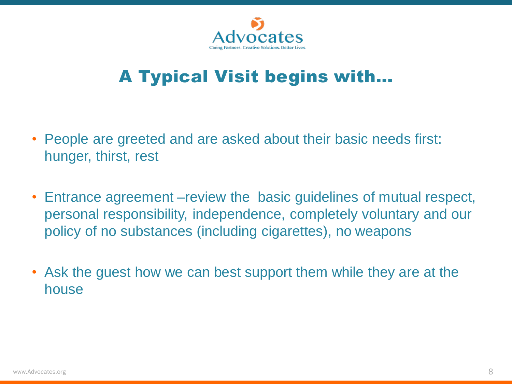

# A Typical Visit begins with…

- People are greeted and are asked about their basic needs first: hunger, thirst, rest
- Entrance agreement –review the basic guidelines of mutual respect, personal responsibility, independence, completely voluntary and our policy of no substances (including cigarettes), no weapons
- Ask the guest how we can best support them while they are at the house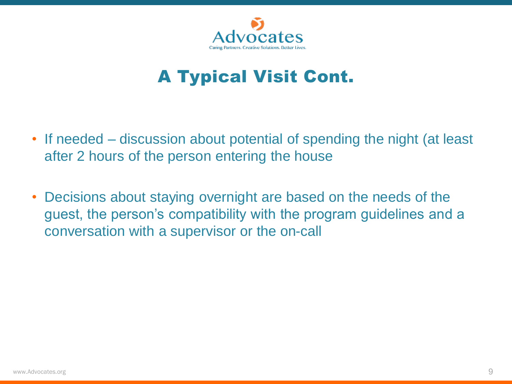

# A Typical Visit Cont.

- If needed discussion about potential of spending the night (at least after 2 hours of the person entering the house
- Decisions about staying overnight are based on the needs of the guest, the person's compatibility with the program guidelines and a conversation with a supervisor or the on-call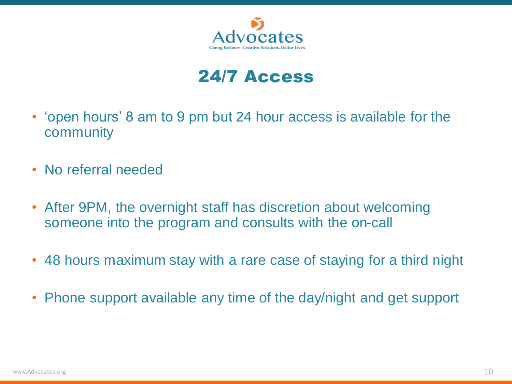

### 24/7 Access

- 'open hours' 8 am to 9 pm but 24 hour access is available for the community
- No referral needed
- After 9PM, the overnight staff has discretion about welcoming someone into the program and consults with the on-call
- 48 hours maximum stay with a rare case of staying for a third night
- Phone support available any time of the day/night and get support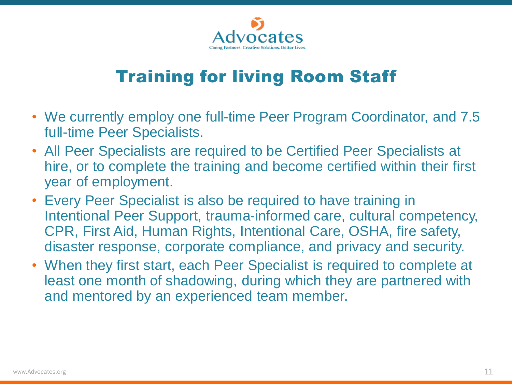

# Training for living Room Staff

- We currently employ one full-time Peer Program Coordinator, and 7.5 full-time Peer Specialists.
- All Peer Specialists are required to be Certified Peer Specialists at hire, or to complete the training and become certified within their first year of employment.
- Every Peer Specialist is also be required to have training in Intentional Peer Support, trauma-informed care, cultural competency, CPR, First Aid, Human Rights, Intentional Care, OSHA, fire safety, disaster response, corporate compliance, and privacy and security.
- When they first start, each Peer Specialist is required to complete at least one month of shadowing, during which they are partnered with and mentored by an experienced team member.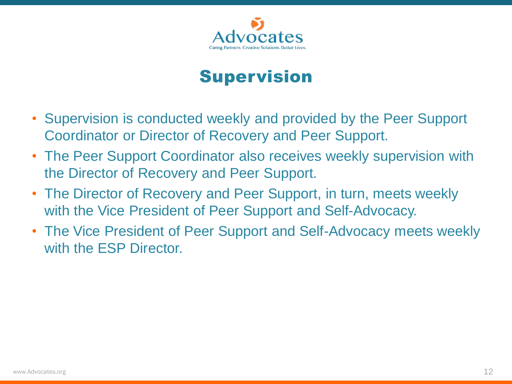

### Supervision

- Supervision is conducted weekly and provided by the Peer Support Coordinator or Director of Recovery and Peer Support.
- The Peer Support Coordinator also receives weekly supervision with the Director of Recovery and Peer Support.
- The Director of Recovery and Peer Support, in turn, meets weekly with the Vice President of Peer Support and Self-Advocacy.
- The Vice President of Peer Support and Self-Advocacy meets weekly with the ESP Director.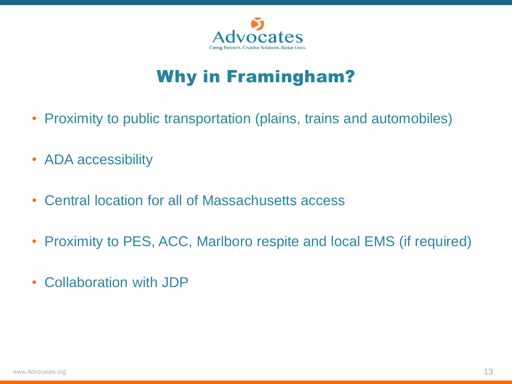

# Why in Framingham?

- Proximity to public transportation (plains, trains and automobiles)
- ADA accessibility
- Central location for all of Massachusetts access
- Proximity to PES, ACC, Marlboro respite and local EMS (if required)
- Collaboration with JDP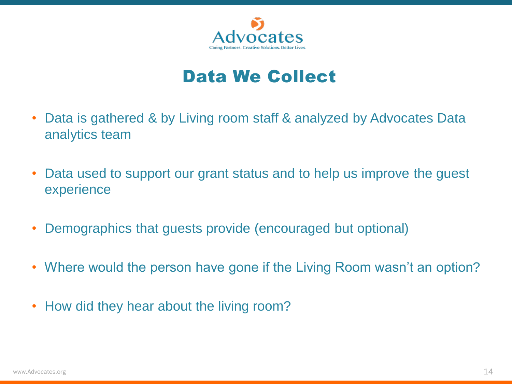

### Data We Collect

- Data is gathered & by Living room staff & analyzed by Advocates Data analytics team
- Data used to support our grant status and to help us improve the guest experience
- Demographics that guests provide (encouraged but optional)
- Where would the person have gone if the Living Room wasn't an option?
- How did they hear about the living room?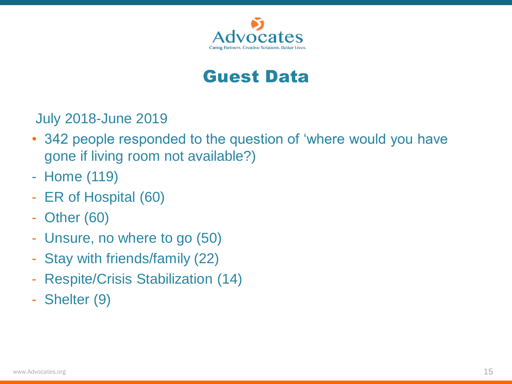

#### Guest Data

July 2018-June 2019

- 342 people responded to the question of 'where would you have gone if living room not available?)
- Home (119)
- ER of Hospital (60)
- Other (60)
- Unsure, no where to go (50)
- Stay with friends/family (22)
- Respite/Crisis Stabilization (14)
- Shelter (9)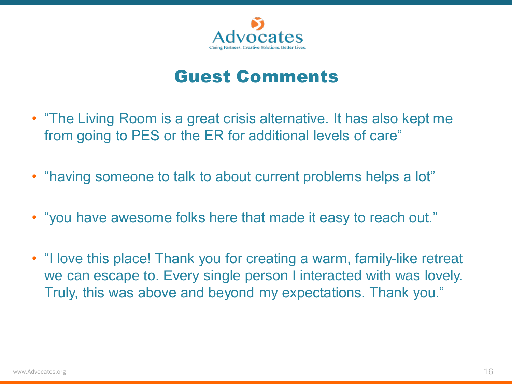

### Guest Comments

- "The Living Room is a great crisis alternative. It has also kept me from going to PES or the ER for additional levels of care"
- "having someone to talk to about current problems helps a lot"
- "you have awesome folks here that made it easy to reach out."
- "I love this place! Thank you for creating a warm, family-like retreat we can escape to. Every single person I interacted with was lovely. Truly, this was above and beyond my expectations. Thank you."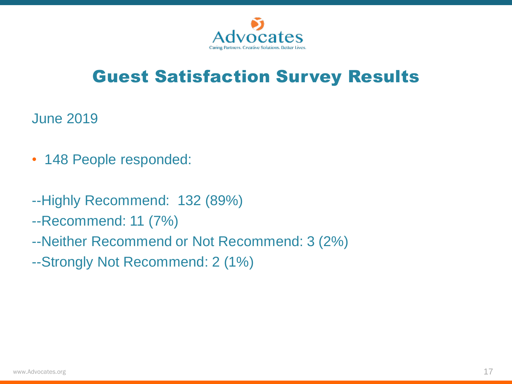

# Guest Satisfaction Survey Results

June 2019

- 148 People responded:
- --Highly Recommend: 132 (89%)
- --Recommend: 11 (7%)
- --Neither Recommend or Not Recommend: 3 (2%)
- --Strongly Not Recommend: 2 (1%)